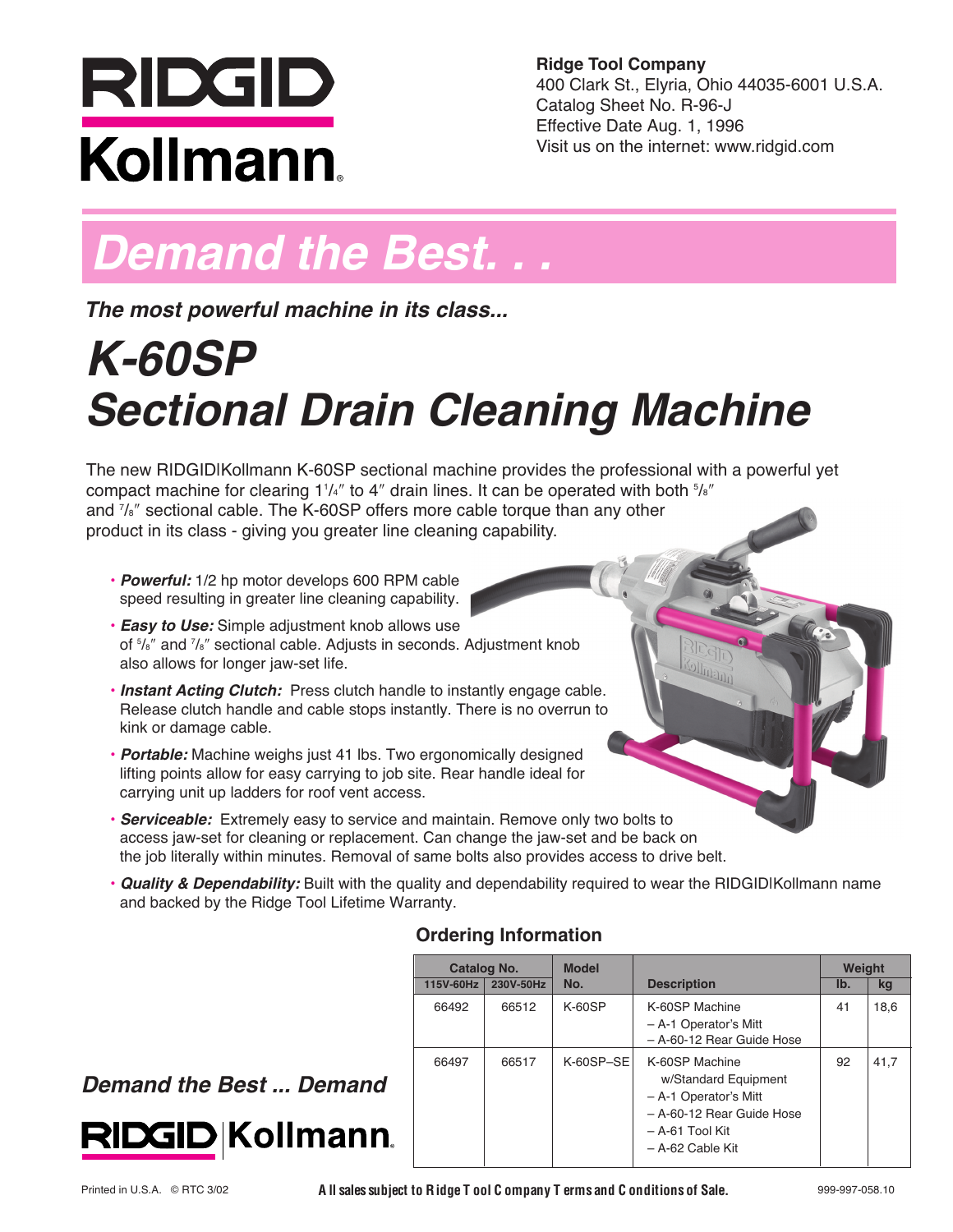# RIDGID Kollmann

**Ridge Tool Company** 400 Clark St., Elyria, Ohio 44035-6001 U.S.A. Catalog Sheet No. R-96-J Effective Date Aug. 1, 1996 Visit us on the internet: www.ridgid.com

## *Demand the Best. . .*

*The most powerful machine in its class...*

## *K-60SP Sectional Drain Cleaning Machine*

The new RIDGIDIKollmann K-60SP sectional machine provides the professional with a powerful yet compact machine for clearing 1 $^{1}/$ 4" to 4" drain lines. It can be operated with both  $^{5}/$ s" and <sup>7</sup> /8ʺ sectional cable. The K-60SP offers more cable torque than any other product in its class - giving you greater line cleaning capability.

- *Powerful:* 1/2 hp motor develops 600 RPM cable speed resulting in greater line cleaning capability.
- *Easy to Use:* Simple adjustment knob allows use of <sup>5</sup> /8ʺ and <sup>7</sup> /8ʺ sectional cable. Adjusts in seconds. Adjustment knob also allows for longer jaw-set life.
- *Instant Acting Clutch:* Press clutch handle to instantly engage cable. Release clutch handle and cable stops instantly. There is no overrun to kink or damage cable.
- *Portable:* Machine weighs just 41 lbs. Two ergonomically designed lifting points allow for easy carrying to job site. Rear handle ideal for carrying unit up ladders for roof vent access.
- *Serviceable:* Extremely easy to service and maintain. Remove only two bolts to access jaw-set for cleaning or replacement. Can change the jaw-set and be back on the job literally within minutes. Removal of same bolts also provides access to drive belt.
- *Quality & Dependability:* Built with the quality and dependability required to wear the RIDGID|Kollmann name and backed by the Ridge Tool Lifetime Warranty.

### **Ordering Information**

| Catalog No. |           | <b>Model</b> |                                                                                                                                     | Weight |      |
|-------------|-----------|--------------|-------------------------------------------------------------------------------------------------------------------------------------|--------|------|
| 115V-60Hz   | 230V-50Hz | No.          | <b>Description</b>                                                                                                                  | Ib.    | kg   |
| 66492       | 66512     | $K-60SP$     | K-60SP Machine<br>- A-1 Operator's Mitt<br>- A-60-12 Rear Guide Hose                                                                | 41     | 18,6 |
| 66497       | 66517     | $K-60SP-SE$  | K-60SP Machine<br>w/Standard Equipment<br>- A-1 Operator's Mitt<br>- A-60-12 Rear Guide Hose<br>– A-61 Tool Kit<br>- A-62 Cable Kit | 92     | 41,7 |

### *Demand the Best ... Demand*